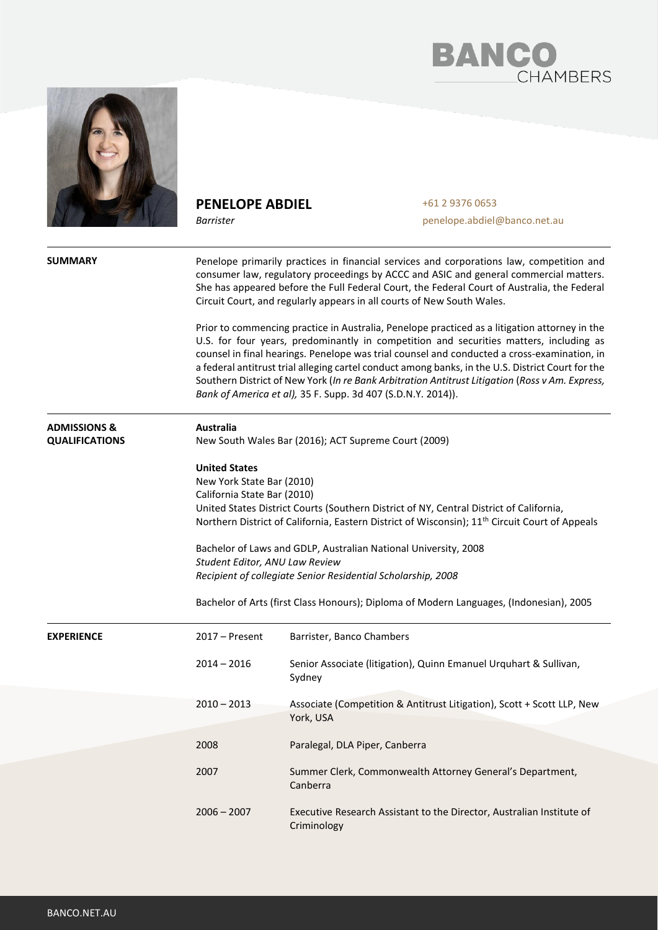



## **PENELOPE ABDIEL**

*Barrister*

+61 2 9376 0653 penelope.abdiel@banco.net.au

| <b>SUMMARY</b>                                   | Penelope primarily practices in financial services and corporations law, competition and<br>consumer law, regulatory proceedings by ACCC and ASIC and general commercial matters.<br>She has appeared before the Full Federal Court, the Federal Court of Australia, the Federal<br>Circuit Court, and regularly appears in all courts of New South Wales.<br>Prior to commencing practice in Australia, Penelope practiced as a litigation attorney in the<br>U.S. for four years, predominantly in competition and securities matters, including as<br>counsel in final hearings. Penelope was trial counsel and conducted a cross-examination, in<br>a federal antitrust trial alleging cartel conduct among banks, in the U.S. District Court for the<br>Southern District of New York (In re Bank Arbitration Antitrust Litigation (Ross v Am. Express,<br>Bank of America et al), 35 F. Supp. 3d 407 (S.D.N.Y. 2014)). |                                                                                      |  |  |
|--------------------------------------------------|------------------------------------------------------------------------------------------------------------------------------------------------------------------------------------------------------------------------------------------------------------------------------------------------------------------------------------------------------------------------------------------------------------------------------------------------------------------------------------------------------------------------------------------------------------------------------------------------------------------------------------------------------------------------------------------------------------------------------------------------------------------------------------------------------------------------------------------------------------------------------------------------------------------------------|--------------------------------------------------------------------------------------|--|--|
|                                                  |                                                                                                                                                                                                                                                                                                                                                                                                                                                                                                                                                                                                                                                                                                                                                                                                                                                                                                                              |                                                                                      |  |  |
| <b>ADMISSIONS &amp;</b><br><b>QUALIFICATIONS</b> | <b>Australia</b><br>New South Wales Bar (2016); ACT Supreme Court (2009)                                                                                                                                                                                                                                                                                                                                                                                                                                                                                                                                                                                                                                                                                                                                                                                                                                                     |                                                                                      |  |  |
|                                                  | <b>United States</b><br>New York State Bar (2010)<br>California State Bar (2010)<br>United States District Courts (Southern District of NY, Central District of California,<br>Northern District of California, Eastern District of Wisconsin); 11 <sup>th</sup> Circuit Court of Appeals<br>Bachelor of Laws and GDLP, Australian National University, 2008<br>Student Editor, ANU Law Review<br>Recipient of collegiate Senior Residential Scholarship, 2008<br>Bachelor of Arts (first Class Honours); Diploma of Modern Languages, (Indonesian), 2005                                                                                                                                                                                                                                                                                                                                                                    |                                                                                      |  |  |
| <b>EXPERIENCE</b>                                | $2017 -$ Present                                                                                                                                                                                                                                                                                                                                                                                                                                                                                                                                                                                                                                                                                                                                                                                                                                                                                                             | Barrister, Banco Chambers                                                            |  |  |
|                                                  | $2014 - 2016$                                                                                                                                                                                                                                                                                                                                                                                                                                                                                                                                                                                                                                                                                                                                                                                                                                                                                                                | Senior Associate (litigation), Quinn Emanuel Urquhart & Sullivan,<br>Sydney          |  |  |
|                                                  | $2010 - 2013$                                                                                                                                                                                                                                                                                                                                                                                                                                                                                                                                                                                                                                                                                                                                                                                                                                                                                                                | Associate (Competition & Antitrust Litigation), Scott + Scott LLP, New<br>York, USA  |  |  |
|                                                  | 2008                                                                                                                                                                                                                                                                                                                                                                                                                                                                                                                                                                                                                                                                                                                                                                                                                                                                                                                         | Paralegal, DLA Piper, Canberra                                                       |  |  |
|                                                  | 2007                                                                                                                                                                                                                                                                                                                                                                                                                                                                                                                                                                                                                                                                                                                                                                                                                                                                                                                         | Summer Clerk, Commonwealth Attorney General's Department,<br>Canberra                |  |  |
|                                                  | $2006 - 2007$                                                                                                                                                                                                                                                                                                                                                                                                                                                                                                                                                                                                                                                                                                                                                                                                                                                                                                                | Executive Research Assistant to the Director, Australian Institute of<br>Criminology |  |  |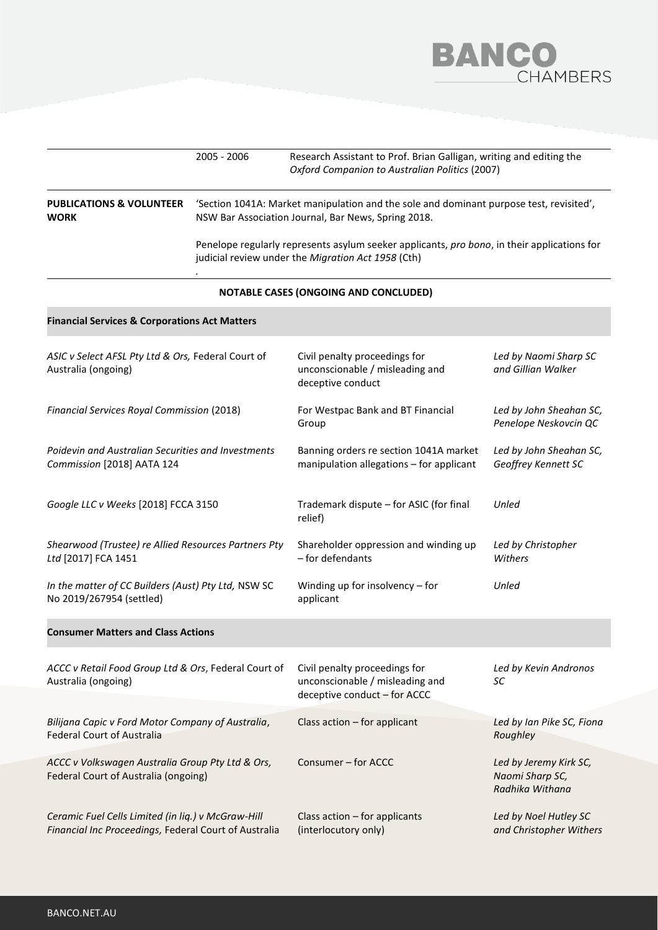

|                                                                                                             | 2005 - 2006                                                                                                                                    | Research Assistant to Prof. Brian Galligan, writing and editing the<br>Oxford Companion to Australian Politics (2007)                             |                                                              |  |  |
|-------------------------------------------------------------------------------------------------------------|------------------------------------------------------------------------------------------------------------------------------------------------|---------------------------------------------------------------------------------------------------------------------------------------------------|--------------------------------------------------------------|--|--|
| <b>PUBLICATIONS &amp; VOLUNTEER</b><br><b>WORK</b>                                                          | 'Section 1041A: Market manipulation and the sole and dominant purpose test, revisited',<br>NSW Bar Association Journal, Bar News, Spring 2018. |                                                                                                                                                   |                                                              |  |  |
|                                                                                                             |                                                                                                                                                | Penelope regularly represents asylum seeker applicants, pro bono, in their applications for<br>judicial review under the Migration Act 1958 (Cth) |                                                              |  |  |
|                                                                                                             |                                                                                                                                                | NOTABLE CASES (ONGOING AND CONCLUDED)                                                                                                             |                                                              |  |  |
| <b>Financial Services &amp; Corporations Act Matters</b>                                                    |                                                                                                                                                |                                                                                                                                                   |                                                              |  |  |
| ASIC v Select AFSL Pty Ltd & Ors, Federal Court of<br>Australia (ongoing)                                   |                                                                                                                                                | Civil penalty proceedings for<br>unconscionable / misleading and<br>deceptive conduct                                                             | Led by Naomi Sharp SC<br>and Gillian Walker                  |  |  |
| Financial Services Royal Commission (2018)                                                                  |                                                                                                                                                | For Westpac Bank and BT Financial<br>Group                                                                                                        | Led by John Sheahan SC,<br>Penelope Neskovcin QC             |  |  |
| Poidevin and Australian Securities and Investments<br>Commission [2018] AATA 124                            |                                                                                                                                                | Banning orders re section 1041A market<br>manipulation allegations - for applicant                                                                | Led by John Sheahan SC,<br>Geoffrey Kennett SC               |  |  |
| Google LLC v Weeks [2018] FCCA 3150                                                                         |                                                                                                                                                | Trademark dispute - for ASIC (for final<br>relief)                                                                                                | Unled                                                        |  |  |
| Shearwood (Trustee) re Allied Resources Partners Pty<br>Ltd [2017] FCA 1451                                 |                                                                                                                                                | Shareholder oppression and winding up<br>- for defendants                                                                                         | Led by Christopher<br>Withers                                |  |  |
| In the matter of CC Builders (Aust) Pty Ltd, NSW SC<br>No 2019/267954 (settled)                             |                                                                                                                                                | Winding up for insolvency $-$ for<br>applicant                                                                                                    | Unled                                                        |  |  |
| <b>Consumer Matters and Class Actions</b>                                                                   |                                                                                                                                                |                                                                                                                                                   |                                                              |  |  |
| ACCC v Retail Food Group Ltd & Ors, Federal Court of<br>Australia (ongoing)                                 |                                                                                                                                                | Civil penalty proceedings for<br>unconscionable / misleading and<br>deceptive conduct - for ACCC                                                  | Led by Kevin Andronos<br>SC                                  |  |  |
| Bilijana Capic v Ford Motor Company of Australia,<br><b>Federal Court of Australia</b>                      |                                                                                                                                                | Class action - for applicant                                                                                                                      | Led by Ian Pike SC, Fiona<br>Roughley                        |  |  |
| ACCC v Volkswagen Australia Group Pty Ltd & Ors,<br>Federal Court of Australia (ongoing)                    |                                                                                                                                                | Consumer - for ACCC                                                                                                                               | Led by Jeremy Kirk SC,<br>Naomi Sharp SC,<br>Radhika Withana |  |  |
| Ceramic Fuel Cells Limited (in liq.) v McGraw-Hill<br>Financial Inc Proceedings, Federal Court of Australia |                                                                                                                                                | Class $action - for applications$<br>(interlocutory only)                                                                                         | Led by Noel Hutley SC<br>and Christopher Withers             |  |  |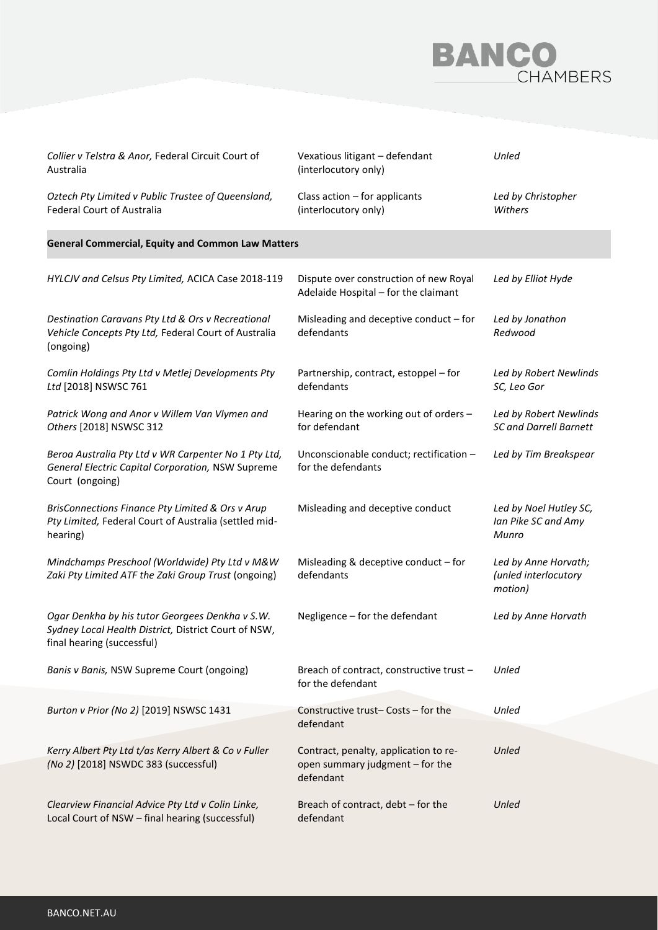

| Collier v Telstra & Anor, Federal Circuit Court of<br>Australia                                                                       | Vexatious litigant - defendant<br>(interlocutory only)                                | Unled                                                   |
|---------------------------------------------------------------------------------------------------------------------------------------|---------------------------------------------------------------------------------------|---------------------------------------------------------|
| Oztech Pty Limited v Public Trustee of Queensland,<br><b>Federal Court of Australia</b>                                               | Class action - for applicants<br>(interlocutory only)                                 | Led by Christopher<br>Withers                           |
| <b>General Commercial, Equity and Common Law Matters</b>                                                                              |                                                                                       |                                                         |
| HYLCJV and Celsus Pty Limited, ACICA Case 2018-119                                                                                    | Dispute over construction of new Royal<br>Adelaide Hospital - for the claimant        | Led by Elliot Hyde                                      |
| Destination Caravans Pty Ltd & Ors v Recreational<br>Vehicle Concepts Pty Ltd, Federal Court of Australia<br>(ongoing)                | Misleading and deceptive conduct - for<br>defendants                                  | Led by Jonathon<br>Redwood                              |
| Comlin Holdings Pty Ltd v Metlej Developments Pty<br>Ltd [2018] NSWSC 761                                                             | Partnership, contract, estoppel - for<br>defendants                                   | Led by Robert Newlinds<br>SC, Leo Gor                   |
| Patrick Wong and Anor v Willem Van Vlymen and<br>Others [2018] NSWSC 312                                                              | Hearing on the working out of orders -<br>for defendant                               | Led by Robert Newlinds<br><b>SC and Darrell Barnett</b> |
| Beroa Australia Pty Ltd v WR Carpenter No 1 Pty Ltd,<br>General Electric Capital Corporation, NSW Supreme<br>Court (ongoing)          | Unconscionable conduct; rectification -<br>for the defendants                         | Led by Tim Breakspear                                   |
| BrisConnections Finance Pty Limited & Ors v Arup<br>Pty Limited, Federal Court of Australia (settled mid-<br>hearing)                 | Misleading and deceptive conduct                                                      | Led by Noel Hutley SC,<br>Ian Pike SC and Amy<br>Munro  |
| Mindchamps Preschool (Worldwide) Pty Ltd v M&W<br>Zaki Pty Limited ATF the Zaki Group Trust (ongoing)                                 | Misleading & deceptive conduct - for<br>defendants                                    | Led by Anne Horvath;<br>(unled interlocutory<br>motion) |
| Ogar Denkha by his tutor Georgees Denkha v S.W.<br>Sydney Local Health District, District Court of NSW,<br>final hearing (successful) | Negligence - for the defendant                                                        | Led by Anne Horvath                                     |
| Banis v Banis, NSW Supreme Court (ongoing)                                                                                            | Breach of contract, constructive trust -<br>for the defendant                         | Unled                                                   |
| Burton v Prior (No 2) [2019] NSWSC 1431                                                                                               | Constructive trust-Costs-for the<br>defendant                                         | Unled                                                   |
| Kerry Albert Pty Ltd t/as Kerry Albert & Co v Fuller<br>(No 2) [2018] NSWDC 383 (successful)                                          | Contract, penalty, application to re-<br>open summary judgment - for the<br>defendant | Unled                                                   |
| Clearview Financial Advice Pty Ltd v Colin Linke,<br>Local Court of NSW - final hearing (successful)                                  | Breach of contract, debt - for the<br>defendant                                       | Unled                                                   |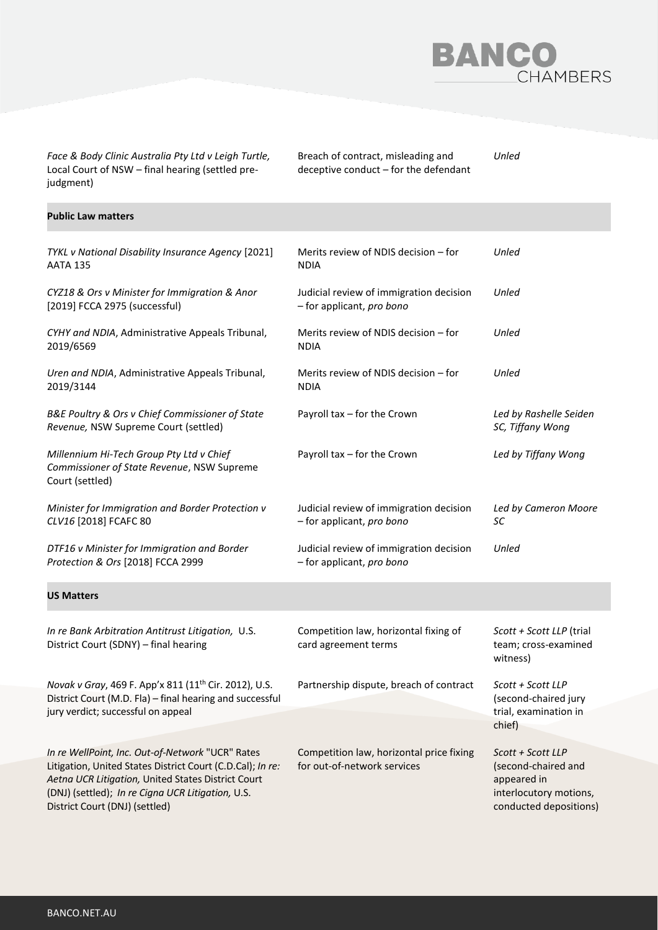

*Face & Body Clinic Australia Pty Ltd v Leigh Turtle,* Local Court of NSW – final hearing (settled prejudgment)

Breach of contract, misleading and deceptive conduct – for the defendant

*Unled*

| <b>Public Law matters</b>                                                                                                                                                                                                                                   |                                                                         |                                                                                                             |  |  |  |
|-------------------------------------------------------------------------------------------------------------------------------------------------------------------------------------------------------------------------------------------------------------|-------------------------------------------------------------------------|-------------------------------------------------------------------------------------------------------------|--|--|--|
| TYKL v National Disability Insurance Agency [2021]<br><b>AATA 135</b>                                                                                                                                                                                       | Merits review of NDIS decision - for<br><b>NDIA</b>                     | Unled                                                                                                       |  |  |  |
| CYZ18 & Ors v Minister for Immigration & Anor<br>[2019] FCCA 2975 (successful)                                                                                                                                                                              | Judicial review of immigration decision<br>- for applicant, pro bono    | Unled                                                                                                       |  |  |  |
| CYHY and NDIA, Administrative Appeals Tribunal,<br>2019/6569                                                                                                                                                                                                | Merits review of NDIS decision - for<br><b>NDIA</b>                     | Unled                                                                                                       |  |  |  |
| Uren and NDIA, Administrative Appeals Tribunal,<br>2019/3144                                                                                                                                                                                                | Merits review of NDIS decision - for<br><b>NDIA</b>                     | Unled                                                                                                       |  |  |  |
| B&E Poultry & Ors v Chief Commissioner of State<br>Revenue, NSW Supreme Court (settled)                                                                                                                                                                     | Payroll tax - for the Crown                                             | Led by Rashelle Seiden<br>SC, Tiffany Wong                                                                  |  |  |  |
| Millennium Hi-Tech Group Pty Ltd v Chief<br>Commissioner of State Revenue, NSW Supreme<br>Court (settled)                                                                                                                                                   | Payroll tax - for the Crown                                             | Led by Tiffany Wong                                                                                         |  |  |  |
| Minister for Immigration and Border Protection v<br>CLV16 [2018] FCAFC 80                                                                                                                                                                                   | Judicial review of immigration decision<br>- for applicant, pro bono    | Led by Cameron Moore<br>SC                                                                                  |  |  |  |
| DTF16 v Minister for Immigration and Border<br>Protection & Ors [2018] FCCA 2999                                                                                                                                                                            | Judicial review of immigration decision<br>- for applicant, pro bono    | Unled                                                                                                       |  |  |  |
| <b>US Matters</b>                                                                                                                                                                                                                                           |                                                                         |                                                                                                             |  |  |  |
| In re Bank Arbitration Antitrust Litigation, U.S.<br>District Court (SDNY) - final hearing                                                                                                                                                                  | Competition law, horizontal fixing of<br>card agreement terms           | Scott + Scott LLP (trial<br>team; cross-examined<br>witness)                                                |  |  |  |
| Novak v Gray, 469 F. App'x 811 (11 <sup>th</sup> Cir. 2012), U.S.<br>District Court (M.D. Fla) - final hearing and successful                                                                                                                               | Partnership dispute, breach of contract                                 | Scott + Scott LLP<br>(second-chaired jury)                                                                  |  |  |  |
| jury verdict; successful on appeal                                                                                                                                                                                                                          |                                                                         | trial, examination in<br>chief)                                                                             |  |  |  |
| In re WellPoint, Inc. Out-of-Network "UCR" Rates<br>Litigation, United States District Court (C.D.Cal); In re:<br>Aetna UCR Litigation, United States District Court<br>(DNJ) (settled); In re Cigna UCR Litigation, U.S.<br>District Court (DNJ) (settled) | Competition law, horizontal price fixing<br>for out-of-network services | Scott + Scott LLP<br>(second-chaired and<br>appeared in<br>interlocutory motions,<br>conducted depositions) |  |  |  |